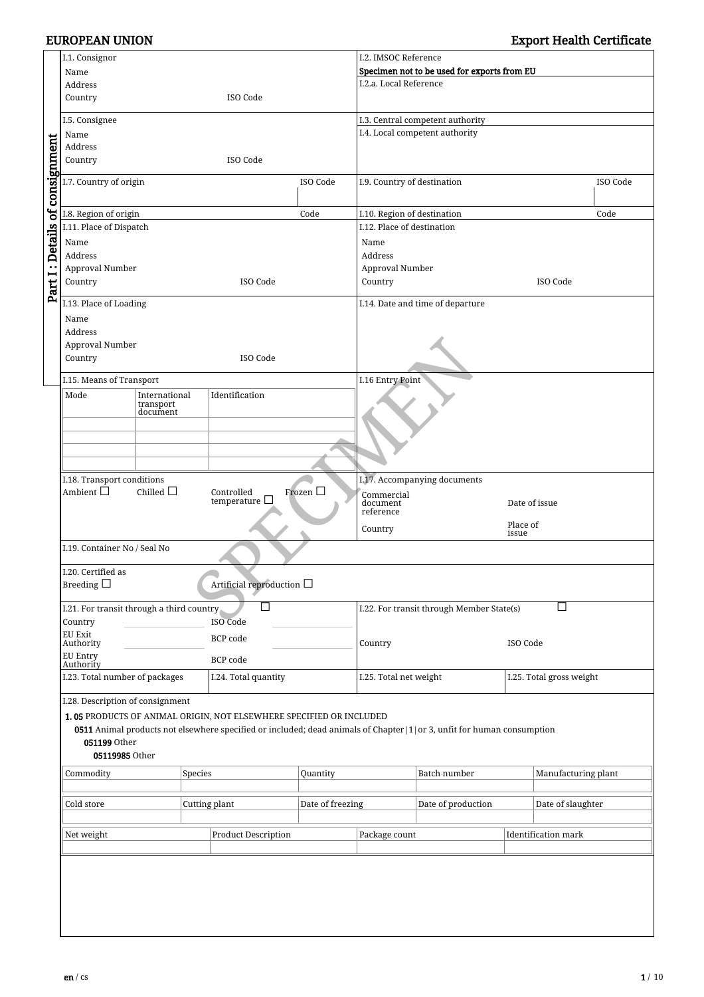|                                | I.1. Consignor                                                                                |                            |                            |                                                                                                                                  |               | I.2. IMSOC Reference                                |                                  |                   |                          |          |
|--------------------------------|-----------------------------------------------------------------------------------------------|----------------------------|----------------------------|----------------------------------------------------------------------------------------------------------------------------------|---------------|-----------------------------------------------------|----------------------------------|-------------------|--------------------------|----------|
|                                | Name                                                                                          |                            |                            |                                                                                                                                  |               | Specimen not to be used for exports from EU         |                                  |                   |                          |          |
|                                | Address                                                                                       |                            |                            |                                                                                                                                  |               |                                                     | I.2.a. Local Reference           |                   |                          |          |
|                                | Country<br>ISO Code                                                                           |                            |                            |                                                                                                                                  |               |                                                     |                                  |                   |                          |          |
|                                | I.5. Consignee                                                                                |                            |                            |                                                                                                                                  |               |                                                     | I.3. Central competent authority |                   |                          |          |
|                                | Name                                                                                          |                            |                            |                                                                                                                                  |               |                                                     | I.4. Local competent authority   |                   |                          |          |
|                                | Address                                                                                       |                            |                            |                                                                                                                                  |               |                                                     |                                  |                   |                          |          |
|                                | Country                                                                                       |                            |                            | ISO Code                                                                                                                         |               |                                                     |                                  |                   |                          |          |
| Part I: Details of consignment | I.7. Country of origin                                                                        |                            |                            |                                                                                                                                  | ISO Code      | I.9. Country of destination                         |                                  |                   |                          | ISO Code |
|                                | I.8. Region of origin                                                                         |                            |                            |                                                                                                                                  | Code          | I.10. Region of destination                         |                                  |                   |                          | Code     |
|                                | I.11. Place of Dispatch                                                                       |                            |                            |                                                                                                                                  |               | I.12. Place of destination                          |                                  |                   |                          |          |
|                                | Name                                                                                          |                            |                            |                                                                                                                                  |               | Name                                                |                                  |                   |                          |          |
|                                | Address                                                                                       |                            |                            |                                                                                                                                  |               | Address                                             |                                  |                   |                          |          |
|                                | Approval Number                                                                               |                            |                            |                                                                                                                                  |               | Approval Number                                     |                                  |                   |                          |          |
|                                | Country                                                                                       |                            |                            | ISO Code                                                                                                                         |               | Country                                             |                                  |                   | ISO Code                 |          |
|                                |                                                                                               |                            |                            |                                                                                                                                  |               |                                                     |                                  |                   |                          |          |
|                                | I.13. Place of Loading                                                                        |                            |                            |                                                                                                                                  |               |                                                     | I.14. Date and time of departure |                   |                          |          |
|                                | Name<br>Address                                                                               |                            |                            |                                                                                                                                  |               |                                                     |                                  |                   |                          |          |
|                                | Approval Number                                                                               |                            |                            |                                                                                                                                  |               |                                                     |                                  |                   |                          |          |
|                                | Country                                                                                       |                            |                            | ISO Code                                                                                                                         |               |                                                     |                                  |                   |                          |          |
|                                |                                                                                               |                            |                            |                                                                                                                                  |               |                                                     |                                  |                   |                          |          |
|                                | I.15. Means of Transport                                                                      |                            |                            |                                                                                                                                  |               | I.16 Entry Point                                    |                                  |                   |                          |          |
|                                | Mode                                                                                          | International<br>transport |                            | Identification                                                                                                                   |               |                                                     |                                  |                   |                          |          |
|                                |                                                                                               | document                   |                            |                                                                                                                                  |               |                                                     |                                  |                   |                          |          |
|                                |                                                                                               |                            |                            |                                                                                                                                  |               |                                                     |                                  |                   |                          |          |
|                                |                                                                                               |                            |                            |                                                                                                                                  |               |                                                     |                                  |                   |                          |          |
|                                |                                                                                               |                            |                            |                                                                                                                                  |               |                                                     |                                  |                   |                          |          |
|                                | I.18. Transport conditions<br>Chilled $\Box$<br>Ambient $\Box$<br>Frozen $\Box$<br>Controlled |                            |                            |                                                                                                                                  |               | I.17. Accompanying documents                        |                                  |                   |                          |          |
|                                |                                                                                               |                            |                            |                                                                                                                                  |               | Commercial                                          |                                  |                   |                          |          |
|                                | temperature $\Box$                                                                            |                            |                            |                                                                                                                                  |               | document<br>Date of issue                           |                                  |                   |                          |          |
|                                |                                                                                               |                            |                            |                                                                                                                                  |               | reference                                           |                                  |                   | Place of                 |          |
|                                |                                                                                               |                            |                            |                                                                                                                                  |               | Country                                             |                                  | issue             |                          |          |
|                                | I.19. Container No / Seal No                                                                  |                            |                            |                                                                                                                                  |               |                                                     |                                  |                   |                          |          |
|                                | I.20. Certified as                                                                            |                            |                            |                                                                                                                                  |               |                                                     |                                  |                   |                          |          |
|                                | Breeding $\square$                                                                            |                            |                            | Artificial reproduction $\Box$                                                                                                   |               |                                                     |                                  |                   |                          |          |
|                                | I.21. For transit through a third country                                                     |                            |                            | $\Box$                                                                                                                           |               | $\Box$<br>I.22. For transit through Member State(s) |                                  |                   |                          |          |
|                                | Country                                                                                       |                            |                            | <b>ISO Code</b>                                                                                                                  |               |                                                     |                                  |                   |                          |          |
|                                | EU Exit                                                                                       |                            |                            | BCP code                                                                                                                         |               |                                                     |                                  | ISO Code          |                          |          |
|                                | Authority                                                                                     |                            |                            |                                                                                                                                  |               | Country                                             |                                  |                   |                          |          |
|                                | <b>EU Entry</b><br>Authority                                                                  |                            |                            | BCP code                                                                                                                         |               |                                                     |                                  |                   |                          |          |
|                                | I.23. Total number of packages                                                                |                            |                            | I.24. Total quantity                                                                                                             |               | I.25. Total net weight                              |                                  |                   | I.25. Total gross weight |          |
|                                | I.28. Description of consignment                                                              |                            |                            |                                                                                                                                  |               |                                                     |                                  |                   |                          |          |
|                                | 1.05 PRODUCTS OF ANIMAL ORIGIN, NOT ELSEWHERE SPECIFIED OR INCLUDED                           |                            |                            |                                                                                                                                  |               |                                                     |                                  |                   |                          |          |
|                                |                                                                                               |                            |                            | <b>0511</b> Animal products not elsewhere specified or included; dead animals of Chapter   1   or 3, unfit for human consumption |               |                                                     |                                  |                   |                          |          |
|                                | 051199 Other<br>05119985 Other                                                                |                            |                            |                                                                                                                                  |               |                                                     |                                  |                   |                          |          |
|                                |                                                                                               |                            |                            |                                                                                                                                  |               |                                                     |                                  |                   |                          |          |
|                                | Commodity                                                                                     |                            | Species                    |                                                                                                                                  | Quantity      |                                                     | Batch number                     |                   | Manufacturing plant      |          |
|                                |                                                                                               |                            |                            |                                                                                                                                  |               |                                                     |                                  |                   |                          |          |
|                                | Cold store                                                                                    |                            | Cutting plant              | Date of freezing                                                                                                                 |               | Date of production                                  |                                  | Date of slaughter |                          |          |
|                                |                                                                                               |                            |                            |                                                                                                                                  |               |                                                     |                                  |                   |                          |          |
|                                | Net weight                                                                                    |                            | <b>Product Description</b> |                                                                                                                                  | Package count |                                                     | <b>Identification</b> mark       |                   |                          |          |
|                                |                                                                                               |                            |                            |                                                                                                                                  |               |                                                     |                                  |                   |                          |          |
|                                |                                                                                               |                            |                            |                                                                                                                                  |               |                                                     |                                  |                   |                          |          |
|                                |                                                                                               |                            |                            |                                                                                                                                  |               |                                                     |                                  |                   |                          |          |
|                                |                                                                                               |                            |                            |                                                                                                                                  |               |                                                     |                                  |                   |                          |          |
|                                |                                                                                               |                            |                            |                                                                                                                                  |               |                                                     |                                  |                   |                          |          |
|                                |                                                                                               |                            |                            |                                                                                                                                  |               |                                                     |                                  |                   |                          |          |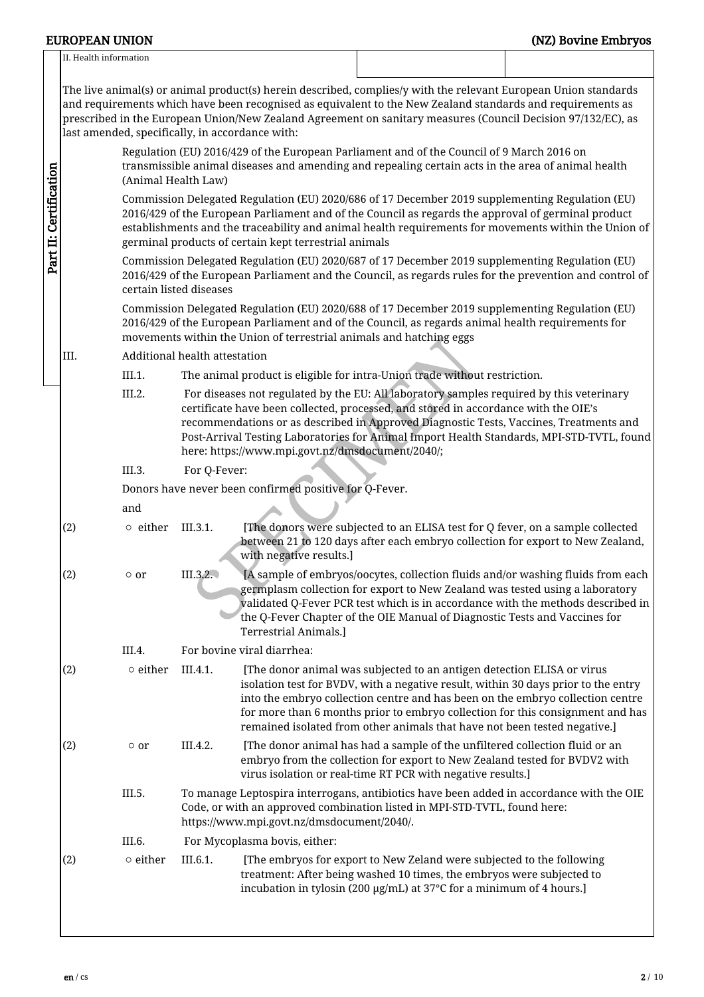|                        | <b>EUROPEAN UNION</b>                                                                                                                                                                                                                                                                                                                                                                                                                                                                         |                                                                                                                                                                                                                                                                                                                                                                        |                                                                                                                                                                                                                                                                                                                                                                                                                           |                                                                     |                                                                                                                                                                                                                                                                           | (NZ) Bovine Embryos                                                                       |  |  |  |  |  |
|------------------------|-----------------------------------------------------------------------------------------------------------------------------------------------------------------------------------------------------------------------------------------------------------------------------------------------------------------------------------------------------------------------------------------------------------------------------------------------------------------------------------------------|------------------------------------------------------------------------------------------------------------------------------------------------------------------------------------------------------------------------------------------------------------------------------------------------------------------------------------------------------------------------|---------------------------------------------------------------------------------------------------------------------------------------------------------------------------------------------------------------------------------------------------------------------------------------------------------------------------------------------------------------------------------------------------------------------------|---------------------------------------------------------------------|---------------------------------------------------------------------------------------------------------------------------------------------------------------------------------------------------------------------------------------------------------------------------|-------------------------------------------------------------------------------------------|--|--|--|--|--|
|                        | II. Health information                                                                                                                                                                                                                                                                                                                                                                                                                                                                        |                                                                                                                                                                                                                                                                                                                                                                        |                                                                                                                                                                                                                                                                                                                                                                                                                           |                                                                     |                                                                                                                                                                                                                                                                           |                                                                                           |  |  |  |  |  |
|                        | The live animal(s) or animal product(s) herein described, complies/y with the relevant European Union standards<br>and requirements which have been recognised as equivalent to the New Zealand standards and requirements as<br>prescribed in the European Union/New Zealand Agreement on sanitary measures (Council Decision 97/132/EC), as<br>last amended, specifically, in accordance with:<br>Regulation (EU) 2016/429 of the European Parliament and of the Council of 9 March 2016 on |                                                                                                                                                                                                                                                                                                                                                                        |                                                                                                                                                                                                                                                                                                                                                                                                                           |                                                                     |                                                                                                                                                                                                                                                                           |                                                                                           |  |  |  |  |  |
|                        |                                                                                                                                                                                                                                                                                                                                                                                                                                                                                               | transmissible animal diseases and amending and repealing certain acts in the area of animal health<br>(Animal Health Law)                                                                                                                                                                                                                                              |                                                                                                                                                                                                                                                                                                                                                                                                                           |                                                                     |                                                                                                                                                                                                                                                                           |                                                                                           |  |  |  |  |  |
| Part II: Certification |                                                                                                                                                                                                                                                                                                                                                                                                                                                                                               | Commission Delegated Regulation (EU) 2020/686 of 17 December 2019 supplementing Regulation (EU)<br>2016/429 of the European Parliament and of the Council as regards the approval of germinal product<br>establishments and the traceability and animal health requirements for movements within the Union of<br>germinal products of certain kept terrestrial animals |                                                                                                                                                                                                                                                                                                                                                                                                                           |                                                                     |                                                                                                                                                                                                                                                                           |                                                                                           |  |  |  |  |  |
|                        |                                                                                                                                                                                                                                                                                                                                                                                                                                                                                               | certain listed diseases                                                                                                                                                                                                                                                                                                                                                |                                                                                                                                                                                                                                                                                                                                                                                                                           |                                                                     | Commission Delegated Regulation (EU) 2020/687 of 17 December 2019 supplementing Regulation (EU)<br>2016/429 of the European Parliament and the Council, as regards rules for the prevention and control of                                                                |                                                                                           |  |  |  |  |  |
|                        |                                                                                                                                                                                                                                                                                                                                                                                                                                                                                               |                                                                                                                                                                                                                                                                                                                                                                        |                                                                                                                                                                                                                                                                                                                                                                                                                           | movements within the Union of terrestrial animals and hatching eggs | Commission Delegated Regulation (EU) 2020/688 of 17 December 2019 supplementing Regulation (EU)<br>2016/429 of the European Parliament and of the Council, as regards animal health requirements for                                                                      |                                                                                           |  |  |  |  |  |
|                        | III.                                                                                                                                                                                                                                                                                                                                                                                                                                                                                          |                                                                                                                                                                                                                                                                                                                                                                        | Additional health attestation                                                                                                                                                                                                                                                                                                                                                                                             |                                                                     |                                                                                                                                                                                                                                                                           |                                                                                           |  |  |  |  |  |
|                        |                                                                                                                                                                                                                                                                                                                                                                                                                                                                                               | III.1.                                                                                                                                                                                                                                                                                                                                                                 |                                                                                                                                                                                                                                                                                                                                                                                                                           |                                                                     | The animal product is eligible for intra-Union trade without restriction.                                                                                                                                                                                                 |                                                                                           |  |  |  |  |  |
|                        |                                                                                                                                                                                                                                                                                                                                                                                                                                                                                               | III.2.                                                                                                                                                                                                                                                                                                                                                                 |                                                                                                                                                                                                                                                                                                                                                                                                                           | here: https://www.mpi.govt.nz/dmsdocument/2040/;                    | For diseases not regulated by the EU: All laboratory samples required by this veterinary<br>certificate have been collected, processed, and stored in accordance with the OIE's<br>recommendations or as described in Approved Diagnostic Tests, Vaccines, Treatments and | Post-Arrival Testing Laboratories for Animal Import Health Standards, MPI-STD-TVTL, found |  |  |  |  |  |
|                        |                                                                                                                                                                                                                                                                                                                                                                                                                                                                                               | III.3.                                                                                                                                                                                                                                                                                                                                                                 | For Q-Fever:                                                                                                                                                                                                                                                                                                                                                                                                              |                                                                     |                                                                                                                                                                                                                                                                           |                                                                                           |  |  |  |  |  |
|                        |                                                                                                                                                                                                                                                                                                                                                                                                                                                                                               | Donors have never been confirmed positive for Q-Fever.                                                                                                                                                                                                                                                                                                                 |                                                                                                                                                                                                                                                                                                                                                                                                                           |                                                                     |                                                                                                                                                                                                                                                                           |                                                                                           |  |  |  |  |  |
|                        |                                                                                                                                                                                                                                                                                                                                                                                                                                                                                               | and                                                                                                                                                                                                                                                                                                                                                                    |                                                                                                                                                                                                                                                                                                                                                                                                                           |                                                                     |                                                                                                                                                                                                                                                                           |                                                                                           |  |  |  |  |  |
|                        | (2)                                                                                                                                                                                                                                                                                                                                                                                                                                                                                           | $\circ$ either                                                                                                                                                                                                                                                                                                                                                         | [The donors were subjected to an ELISA test for Q fever, on a sample collected<br>III.3.1.<br>between 21 to 120 days after each embryo collection for export to New Zealand,<br>with negative results.]                                                                                                                                                                                                                   |                                                                     |                                                                                                                                                                                                                                                                           |                                                                                           |  |  |  |  |  |
|                        | (2)                                                                                                                                                                                                                                                                                                                                                                                                                                                                                           | $\circ$ or                                                                                                                                                                                                                                                                                                                                                             | III.3.2.<br>[A sample of embryos/oocytes, collection fluids and/or washing fluids from each<br>germplasm collection for export to New Zealand was tested using a laboratory<br>validated Q-Fever PCR test which is in accordance with the methods described in<br>the Q-Fever Chapter of the OIE Manual of Diagnostic Tests and Vaccines for<br><b>Terrestrial Animals.]</b>                                              |                                                                     |                                                                                                                                                                                                                                                                           |                                                                                           |  |  |  |  |  |
|                        |                                                                                                                                                                                                                                                                                                                                                                                                                                                                                               | III.4.                                                                                                                                                                                                                                                                                                                                                                 |                                                                                                                                                                                                                                                                                                                                                                                                                           | For bovine viral diarrhea:                                          |                                                                                                                                                                                                                                                                           |                                                                                           |  |  |  |  |  |
|                        | (2)                                                                                                                                                                                                                                                                                                                                                                                                                                                                                           | $\circ$ either                                                                                                                                                                                                                                                                                                                                                         | III.4.1.<br>[The donor animal was subjected to an antigen detection ELISA or virus<br>isolation test for BVDV, with a negative result, within 30 days prior to the entry<br>into the embryo collection centre and has been on the embryo collection centre<br>for more than 6 months prior to embryo collection for this consignment and has<br>remained isolated from other animals that have not been tested negative.] |                                                                     |                                                                                                                                                                                                                                                                           |                                                                                           |  |  |  |  |  |
|                        | (2)                                                                                                                                                                                                                                                                                                                                                                                                                                                                                           | $\circ$ or                                                                                                                                                                                                                                                                                                                                                             | III.4.2.                                                                                                                                                                                                                                                                                                                                                                                                                  |                                                                     | [The donor animal has had a sample of the unfiltered collection fluid or an<br>embryo from the collection for export to New Zealand tested for BVDV2 with<br>virus isolation or real-time RT PCR with negative results.]                                                  |                                                                                           |  |  |  |  |  |
|                        |                                                                                                                                                                                                                                                                                                                                                                                                                                                                                               | III.5.                                                                                                                                                                                                                                                                                                                                                                 |                                                                                                                                                                                                                                                                                                                                                                                                                           | https://www.mpi.govt.nz/dmsdocument/2040/.                          | To manage Leptospira interrogans, antibiotics have been added in accordance with the OIE<br>Code, or with an approved combination listed in MPI-STD-TVTL, found here:                                                                                                     |                                                                                           |  |  |  |  |  |
|                        |                                                                                                                                                                                                                                                                                                                                                                                                                                                                                               | III.6.                                                                                                                                                                                                                                                                                                                                                                 |                                                                                                                                                                                                                                                                                                                                                                                                                           | For Mycoplasma bovis, either:                                       |                                                                                                                                                                                                                                                                           |                                                                                           |  |  |  |  |  |
|                        | (2)                                                                                                                                                                                                                                                                                                                                                                                                                                                                                           | $\circ$ either                                                                                                                                                                                                                                                                                                                                                         | III.6.1.                                                                                                                                                                                                                                                                                                                                                                                                                  |                                                                     | [The embryos for export to New Zeland were subjected to the following<br>treatment: After being washed 10 times, the embryos were subjected to<br>incubation in tylosin (200 µg/mL) at 37°C for a minimum of 4 hours.]                                                    |                                                                                           |  |  |  |  |  |
|                        |                                                                                                                                                                                                                                                                                                                                                                                                                                                                                               |                                                                                                                                                                                                                                                                                                                                                                        |                                                                                                                                                                                                                                                                                                                                                                                                                           |                                                                     |                                                                                                                                                                                                                                                                           |                                                                                           |  |  |  |  |  |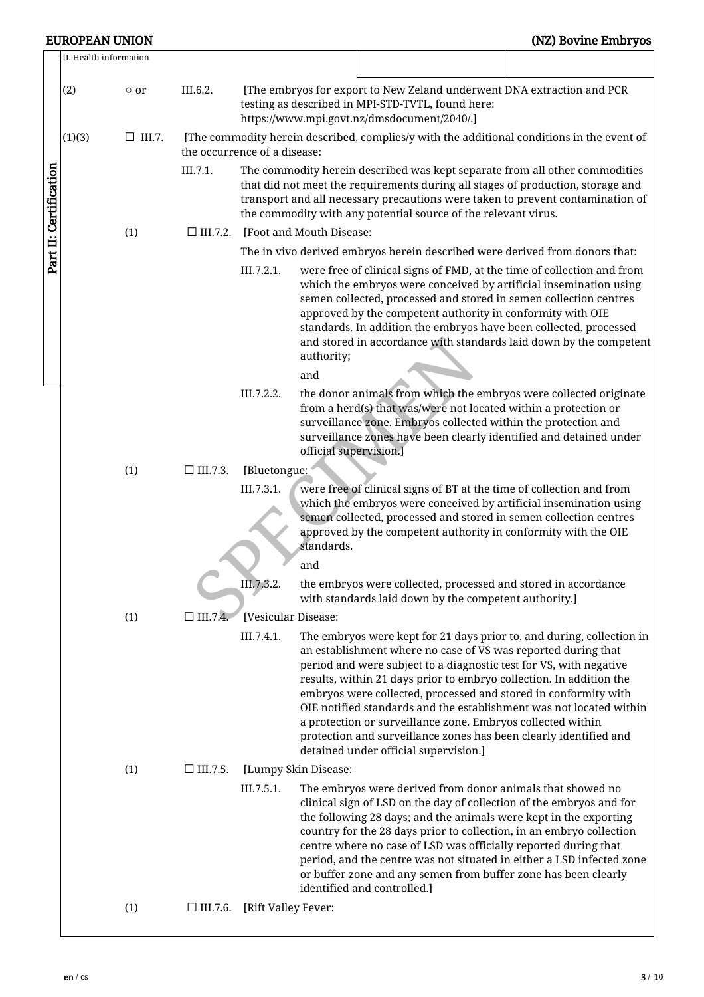|                        | II. Health information |               |                                                                                                                            |                                                                                                                                                                                                                                                                                                                    |                        |                                                                                                                                                                                                                                                                                                                                                                                                                                                            |                                                                                                                                              |  |  |  |
|------------------------|------------------------|---------------|----------------------------------------------------------------------------------------------------------------------------|--------------------------------------------------------------------------------------------------------------------------------------------------------------------------------------------------------------------------------------------------------------------------------------------------------------------|------------------------|------------------------------------------------------------------------------------------------------------------------------------------------------------------------------------------------------------------------------------------------------------------------------------------------------------------------------------------------------------------------------------------------------------------------------------------------------------|----------------------------------------------------------------------------------------------------------------------------------------------|--|--|--|
|                        | (2)                    | $\circ$ or    | III.6.2.                                                                                                                   | [The embryos for export to New Zeland underwent DNA extraction and PCR<br>testing as described in MPI-STD-TVTL, found here:<br>https://www.mpi.govt.nz/dmsdocument/2040/.]                                                                                                                                         |                        |                                                                                                                                                                                                                                                                                                                                                                                                                                                            |                                                                                                                                              |  |  |  |
|                        | (1)(3)                 | $\Box$ III.7. | [The commodity herein described, complies/y with the additional conditions in the event of<br>the occurrence of a disease: |                                                                                                                                                                                                                                                                                                                    |                        |                                                                                                                                                                                                                                                                                                                                                                                                                                                            |                                                                                                                                              |  |  |  |
| Part II: Certification |                        |               | III.7.1.                                                                                                                   | The commodity herein described was kept separate from all other commodities<br>that did not meet the requirements during all stages of production, storage and<br>transport and all necessary precautions were taken to prevent contamination of<br>the commodity with any potential source of the relevant virus. |                        |                                                                                                                                                                                                                                                                                                                                                                                                                                                            |                                                                                                                                              |  |  |  |
|                        |                        | (1)           | $\Box$ III.7.2.                                                                                                            | [Foot and Mouth Disease:                                                                                                                                                                                                                                                                                           |                        |                                                                                                                                                                                                                                                                                                                                                                                                                                                            |                                                                                                                                              |  |  |  |
|                        |                        |               |                                                                                                                            | The in vivo derived embryos herein described were derived from donors that:                                                                                                                                                                                                                                        |                        |                                                                                                                                                                                                                                                                                                                                                                                                                                                            |                                                                                                                                              |  |  |  |
|                        |                        |               |                                                                                                                            | III.7.2.1.                                                                                                                                                                                                                                                                                                         | authority;<br>and      | which the embryos were conceived by artificial insemination using<br>semen collected, processed and stored in semen collection centres<br>approved by the competent authority in conformity with OIE<br>standards. In addition the embryos have been collected, processed                                                                                                                                                                                  | were free of clinical signs of FMD, at the time of collection and from<br>and stored in accordance with standards laid down by the competent |  |  |  |
|                        |                        |               |                                                                                                                            | III.7.2.2.                                                                                                                                                                                                                                                                                                         | official supervision.] | from a herd(s) that was/were not located within a protection or<br>surveillance zone. Embryos collected within the protection and<br>surveillance zones have been clearly identified and detained under                                                                                                                                                                                                                                                    | the donor animals from which the embryos were collected originate                                                                            |  |  |  |
|                        |                        | (1)           | $\Box$ III.7.3.                                                                                                            | [Bluetongue:                                                                                                                                                                                                                                                                                                       |                        |                                                                                                                                                                                                                                                                                                                                                                                                                                                            |                                                                                                                                              |  |  |  |
|                        |                        |               |                                                                                                                            | III.7.3.1.                                                                                                                                                                                                                                                                                                         | standards.             | were free of clinical signs of BT at the time of collection and from<br>which the embryos were conceived by artificial insemination using<br>semen collected, processed and stored in semen collection centres<br>approved by the competent authority in conformity with the OIE                                                                                                                                                                           |                                                                                                                                              |  |  |  |
|                        |                        |               |                                                                                                                            | III.7,3.2.                                                                                                                                                                                                                                                                                                         | and                    | the embryos were collected, processed and stored in accordance                                                                                                                                                                                                                                                                                                                                                                                             |                                                                                                                                              |  |  |  |
|                        |                        |               |                                                                                                                            |                                                                                                                                                                                                                                                                                                                    |                        | with standards laid down by the competent authority.]                                                                                                                                                                                                                                                                                                                                                                                                      |                                                                                                                                              |  |  |  |
|                        |                        | (1)           | $\Box$ III.7.4.                                                                                                            | [Vesicular Disease:<br>III.7.4.1.                                                                                                                                                                                                                                                                                  |                        | an establishment where no case of VS was reported during that<br>period and were subject to a diagnostic test for VS, with negative<br>results, within 21 days prior to embryo collection. In addition the<br>embryos were collected, processed and stored in conformity with<br>a protection or surveillance zone. Embryos collected within<br>protection and surveillance zones has been clearly identified and<br>detained under official supervision.] | The embryos were kept for 21 days prior to, and during, collection in<br>OIE notified standards and the establishment was not located within |  |  |  |
|                        |                        | (1)           | $\Box$ III.7.5.                                                                                                            | [Lumpy Skin Disease:                                                                                                                                                                                                                                                                                               |                        |                                                                                                                                                                                                                                                                                                                                                                                                                                                            |                                                                                                                                              |  |  |  |
|                        |                        |               |                                                                                                                            | III.7.5.1.                                                                                                                                                                                                                                                                                                         |                        | The embryos were derived from donor animals that showed no<br>clinical sign of LSD on the day of collection of the embryos and for<br>the following 28 days; and the animals were kept in the exporting<br>country for the 28 days prior to collection, in an embryo collection<br>centre where no case of LSD was officially reported during that<br>or buffer zone and any semen from buffer zone has been clearly<br>identified and controlled.]        | period, and the centre was not situated in either a LSD infected zone                                                                        |  |  |  |
|                        |                        | (1)           | $\Box$ III.7.6.                                                                                                            | [Rift Valley Fever:                                                                                                                                                                                                                                                                                                |                        |                                                                                                                                                                                                                                                                                                                                                                                                                                                            |                                                                                                                                              |  |  |  |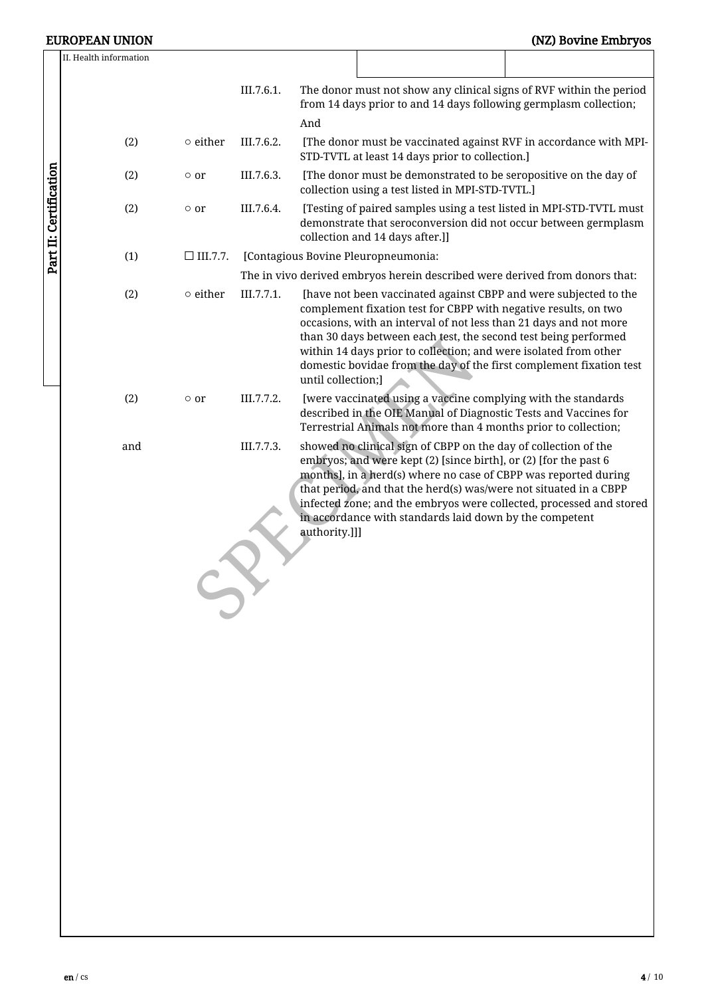## EUROPEAN UNION (NZ) Bovine Embryos

|                        | II. Health information |                 |            |                                                                                                                      |                                                                                                                                                                                                                                                                                                                                                                                                                        |                                                                     |  |  |  |  |
|------------------------|------------------------|-----------------|------------|----------------------------------------------------------------------------------------------------------------------|------------------------------------------------------------------------------------------------------------------------------------------------------------------------------------------------------------------------------------------------------------------------------------------------------------------------------------------------------------------------------------------------------------------------|---------------------------------------------------------------------|--|--|--|--|
|                        |                        |                 | III.7.6.1. | And                                                                                                                  | from 14 days prior to and 14 days following germplasm collection;                                                                                                                                                                                                                                                                                                                                                      | The donor must not show any clinical signs of RVF within the period |  |  |  |  |
|                        | (2)                    | $\circ$ either  | III.7.6.2. |                                                                                                                      | STD-TVTL at least 14 days prior to collection.]                                                                                                                                                                                                                                                                                                                                                                        | [The donor must be vaccinated against RVF in accordance with MPI-   |  |  |  |  |
|                        | (2)                    | $\circ$ or      | III.7.6.3. | [The donor must be demonstrated to be seropositive on the day of<br>collection using a test listed in MPI-STD-TVTL.] |                                                                                                                                                                                                                                                                                                                                                                                                                        |                                                                     |  |  |  |  |
| Part II: Certification | (2)                    | $\circ$ or      | III.7.6.4. |                                                                                                                      | [Testing of paired samples using a test listed in MPI-STD-TVTL must<br>demonstrate that seroconversion did not occur between germplasm<br>collection and 14 days after.]]                                                                                                                                                                                                                                              |                                                                     |  |  |  |  |
|                        | (1)                    | $\Box$ III.7.7. |            |                                                                                                                      | [Contagious Bovine Pleuropneumonia:                                                                                                                                                                                                                                                                                                                                                                                    |                                                                     |  |  |  |  |
|                        |                        |                 |            |                                                                                                                      | The in vivo derived embryos herein described were derived from donors that:                                                                                                                                                                                                                                                                                                                                            |                                                                     |  |  |  |  |
|                        | (2)                    | $\circ$ either  | III.7.7.1. | until collection;]                                                                                                   | [have not been vaccinated against CBPP and were subjected to the<br>complement fixation test for CBPP with negative results, on two<br>occasions, with an interval of not less than 21 days and not more<br>than 30 days between each test, the second test being performed<br>within 14 days prior to collection; and were isolated from other<br>domestic bovidae from the day of the first complement fixation test |                                                                     |  |  |  |  |
|                        | (2)                    | $\circ$ or      | III.7.7.2. |                                                                                                                      | [were vaccinated using a vaccine complying with the standards<br>described in the OIE Manual of Diagnostic Tests and Vaccines for<br>Terrestrial Animals not more than 4 months prior to collection;                                                                                                                                                                                                                   |                                                                     |  |  |  |  |
|                        | and                    |                 | III.7.7.3. | authority.]]]                                                                                                        | showed no clinical sign of CBPP on the day of collection of the<br>embryos; and were kept (2) [since birth], or (2) [for the past 6<br>months], in a herd(s) where no case of CBPP was reported during<br>that period, and that the herd(s) was/were not situated in a CBPP<br>in accordance with standards laid down by the competent                                                                                 | infected zone; and the embryos were collected, processed and stored |  |  |  |  |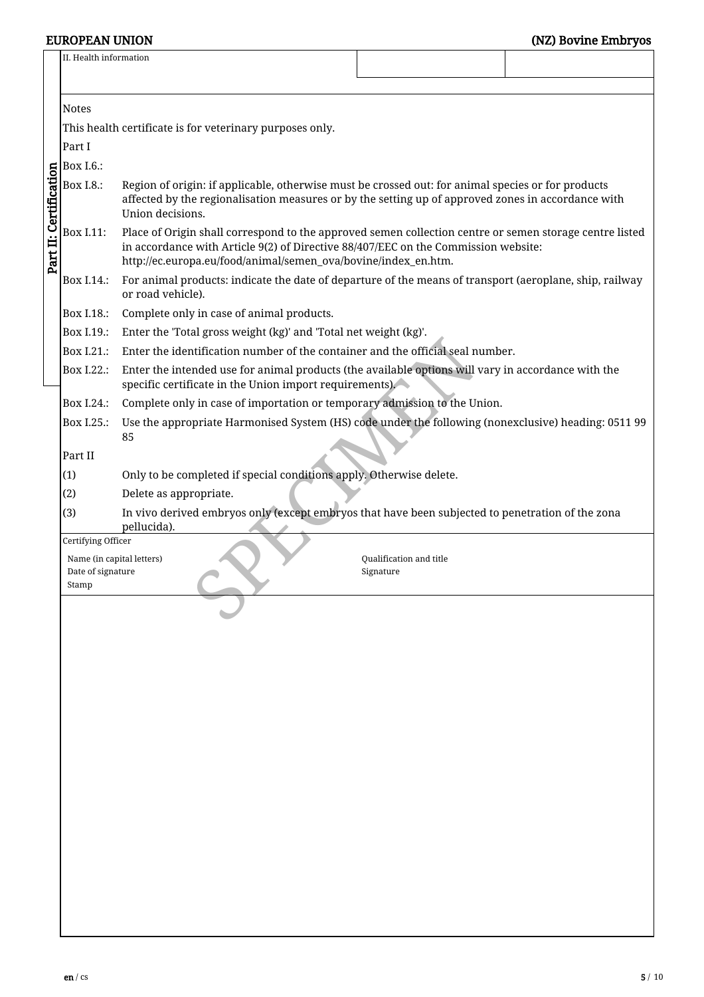|                                                                                                 | II. Health information                                   |                                                                                                                                                                                                                                                                 |  |  |  |  |  |  |  |
|-------------------------------------------------------------------------------------------------|----------------------------------------------------------|-----------------------------------------------------------------------------------------------------------------------------------------------------------------------------------------------------------------------------------------------------------------|--|--|--|--|--|--|--|
|                                                                                                 |                                                          |                                                                                                                                                                                                                                                                 |  |  |  |  |  |  |  |
|                                                                                                 | <b>Notes</b>                                             |                                                                                                                                                                                                                                                                 |  |  |  |  |  |  |  |
|                                                                                                 | This health certificate is for veterinary purposes only. |                                                                                                                                                                                                                                                                 |  |  |  |  |  |  |  |
|                                                                                                 | Part I                                                   |                                                                                                                                                                                                                                                                 |  |  |  |  |  |  |  |
|                                                                                                 | <b>Box I.6.:</b>                                         |                                                                                                                                                                                                                                                                 |  |  |  |  |  |  |  |
|                                                                                                 | <b>Box I.8.:</b>                                         | Region of origin: if applicable, otherwise must be crossed out: for animal species or for products<br>affected by the regionalisation measures or by the setting up of approved zones in accordance with<br>Union decisions.                                    |  |  |  |  |  |  |  |
| Part II: Certification                                                                          | Box I.11:                                                | Place of Origin shall correspond to the approved semen collection centre or semen storage centre listed<br>in accordance with Article 9(2) of Directive 88/407/EEC on the Commission website:<br>http://ec.europa.eu/food/animal/semen_ova/bovine/index_en.htm. |  |  |  |  |  |  |  |
|                                                                                                 | Box I.14.:                                               | For animal products: indicate the date of departure of the means of transport (aeroplane, ship, railway<br>or road vehicle).                                                                                                                                    |  |  |  |  |  |  |  |
|                                                                                                 | Box I.18.:                                               | Complete only in case of animal products.                                                                                                                                                                                                                       |  |  |  |  |  |  |  |
|                                                                                                 | Box I.19.:                                               | Enter the 'Total gross weight (kg)' and 'Total net weight (kg)'.                                                                                                                                                                                                |  |  |  |  |  |  |  |
|                                                                                                 | Box I.21.:                                               | Enter the identification number of the container and the official seal number.                                                                                                                                                                                  |  |  |  |  |  |  |  |
|                                                                                                 | Box I.22.:                                               | Enter the intended use for animal products (the available options will vary in accordance with the<br>specific certificate in the Union import requirements).                                                                                                   |  |  |  |  |  |  |  |
|                                                                                                 | Box I.24.:                                               | Complete only in case of importation or temporary admission to the Union.                                                                                                                                                                                       |  |  |  |  |  |  |  |
|                                                                                                 | Box I.25.:                                               | Use the appropriate Harmonised System (HS) code under the following (nonexclusive) heading: 0511 99<br>85                                                                                                                                                       |  |  |  |  |  |  |  |
|                                                                                                 | Part II                                                  |                                                                                                                                                                                                                                                                 |  |  |  |  |  |  |  |
|                                                                                                 | (1)                                                      | Only to be completed if special conditions apply. Otherwise delete.                                                                                                                                                                                             |  |  |  |  |  |  |  |
|                                                                                                 | (2)                                                      | Delete as appropriate.                                                                                                                                                                                                                                          |  |  |  |  |  |  |  |
|                                                                                                 | (3)                                                      | In vivo derived embryos only (except embryos that have been subjected to penetration of the zona<br>pellucida).                                                                                                                                                 |  |  |  |  |  |  |  |
|                                                                                                 | Certifying Officer                                       |                                                                                                                                                                                                                                                                 |  |  |  |  |  |  |  |
| Qualification and title<br>Name (in capital letters)<br>Date of signature<br>Signature<br>Stamp |                                                          |                                                                                                                                                                                                                                                                 |  |  |  |  |  |  |  |
|                                                                                                 |                                                          |                                                                                                                                                                                                                                                                 |  |  |  |  |  |  |  |
|                                                                                                 |                                                          |                                                                                                                                                                                                                                                                 |  |  |  |  |  |  |  |
|                                                                                                 |                                                          |                                                                                                                                                                                                                                                                 |  |  |  |  |  |  |  |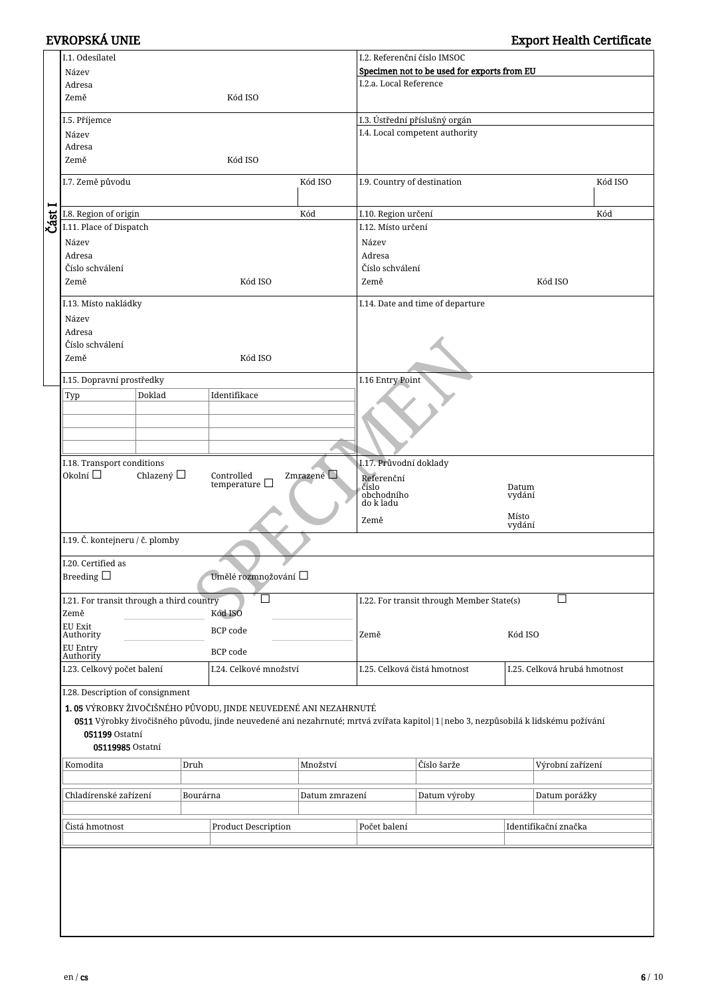|                                                                 | I.1. Odesílatel                                                                                                                      |          |                                                |                | I.2. Referenční číslo IMSOC                    |                                  |                              |                      |  |
|-----------------------------------------------------------------|--------------------------------------------------------------------------------------------------------------------------------------|----------|------------------------------------------------|----------------|------------------------------------------------|----------------------------------|------------------------------|----------------------|--|
|                                                                 | Název                                                                                                                                |          |                                                |                | Specimen not to be used for exports from EU    |                                  |                              |                      |  |
|                                                                 | Adresa                                                                                                                               |          |                                                |                | I.2.a. Local Reference                         |                                  |                              |                      |  |
|                                                                 | Země<br>Kód ISO                                                                                                                      |          |                                                |                |                                                |                                  |                              |                      |  |
|                                                                 | I.5. Příjemce                                                                                                                        |          | I.3. Ústřední příslušný orgán                  |                |                                                |                                  |                              |                      |  |
|                                                                 | Název                                                                                                                                |          |                                                |                |                                                | I.4. Local competent authority   |                              |                      |  |
|                                                                 | Adresa                                                                                                                               |          |                                                |                |                                                |                                  |                              |                      |  |
|                                                                 | Země                                                                                                                                 |          |                                                |                |                                                |                                  |                              |                      |  |
|                                                                 |                                                                                                                                      |          |                                                |                |                                                |                                  |                              |                      |  |
|                                                                 | I.7. Země původu                                                                                                                     | Kód ISO  | I.9. Country of destination                    |                |                                                | Kód ISO                          |                              |                      |  |
|                                                                 |                                                                                                                                      |          |                                                |                |                                                |                                  |                              |                      |  |
| Část I                                                          | I.8. Region of origin                                                                                                                |          |                                                | Kód            | I.10. Region určení                            |                                  |                              | Kód                  |  |
|                                                                 | I.11. Place of Dispatch                                                                                                              |          |                                                |                | I.12. Místo určení                             |                                  |                              |                      |  |
|                                                                 | Název                                                                                                                                |          |                                                |                | Název                                          |                                  |                              |                      |  |
|                                                                 | Adresa                                                                                                                               |          |                                                |                | Adresa                                         |                                  |                              |                      |  |
|                                                                 | Číslo schválení                                                                                                                      |          |                                                |                | Číslo schválení                                |                                  |                              |                      |  |
|                                                                 | Země                                                                                                                                 |          | Kód ISO                                        |                | Země                                           |                                  |                              | Kód ISO              |  |
|                                                                 | I.13. Místo nakládky                                                                                                                 |          |                                                |                |                                                | I.14. Date and time of departure |                              |                      |  |
|                                                                 | Název                                                                                                                                |          |                                                |                |                                                |                                  |                              |                      |  |
|                                                                 | Adresa                                                                                                                               |          |                                                |                |                                                |                                  |                              |                      |  |
|                                                                 | Číslo schválení                                                                                                                      |          |                                                |                |                                                |                                  |                              |                      |  |
|                                                                 | Země                                                                                                                                 |          | Kód ISO                                        |                |                                                |                                  |                              |                      |  |
|                                                                 |                                                                                                                                      |          |                                                |                |                                                |                                  |                              |                      |  |
|                                                                 | I.15. Dopravní prostředky                                                                                                            |          |                                                |                | I.16 Entry Point                               |                                  |                              |                      |  |
|                                                                 | Doklad<br>Typ                                                                                                                        |          | Identifikace                                   |                |                                                |                                  |                              |                      |  |
|                                                                 |                                                                                                                                      |          |                                                |                |                                                |                                  |                              |                      |  |
|                                                                 |                                                                                                                                      |          |                                                |                |                                                |                                  |                              |                      |  |
|                                                                 |                                                                                                                                      |          |                                                |                |                                                |                                  |                              |                      |  |
|                                                                 |                                                                                                                                      |          |                                                |                |                                                |                                  |                              |                      |  |
|                                                                 | I.18. Transport conditions                                                                                                           |          |                                                |                | I.17. Průvodní doklady                         |                                  |                              |                      |  |
|                                                                 | Okolní $\square$<br>Chlazený $\Box$                                                                                                  |          | Zmrazené Q<br>Controlled<br>temperature $\Box$ |                | Referenční                                     |                                  |                              |                      |  |
|                                                                 |                                                                                                                                      |          |                                                |                | číslo<br>obchodního<br>do k ladu               |                                  | Datum<br>vydání              |                      |  |
|                                                                 |                                                                                                                                      |          |                                                |                |                                                |                                  |                              |                      |  |
|                                                                 |                                                                                                                                      |          |                                                |                | Místo<br>Země<br>vydání                        |                                  |                              |                      |  |
|                                                                 | I.19. Č. kontejneru / č. plomby                                                                                                      |          |                                                |                |                                                |                                  |                              |                      |  |
|                                                                 |                                                                                                                                      |          |                                                |                |                                                |                                  |                              |                      |  |
|                                                                 | I.20. Certified as                                                                                                                   |          |                                                |                |                                                |                                  |                              |                      |  |
|                                                                 | Breeding $\Box$                                                                                                                      |          | Umělé rozmnožování □                           |                | П<br>I.22. For transit through Member State(s) |                                  |                              |                      |  |
|                                                                 | I.21. For transit through a third country                                                                                            |          | ΙI                                             |                |                                                |                                  |                              |                      |  |
|                                                                 | Země                                                                                                                                 |          | Kód ISO                                        |                |                                                |                                  |                              |                      |  |
|                                                                 | EU Exit                                                                                                                              |          | BCP code                                       |                |                                                |                                  |                              |                      |  |
|                                                                 | Authority                                                                                                                            |          |                                                |                | Země                                           |                                  | Kód ISO                      |                      |  |
|                                                                 | <b>EU Entry</b><br>Authority                                                                                                         |          | <b>BCP</b> code                                |                |                                                |                                  |                              |                      |  |
|                                                                 | I.23. Celkový počet balení                                                                                                           |          | I.24. Celkové množství                         |                | I.25. Celková čistá hmotnost                   |                                  | I.25. Celková hrubá hmotnost |                      |  |
|                                                                 |                                                                                                                                      |          |                                                |                |                                                |                                  |                              |                      |  |
|                                                                 | I.28. Description of consignment                                                                                                     |          |                                                |                |                                                |                                  |                              |                      |  |
| 1.05 VÝROBKY ŽIVOČIŠNÉHO PŮVODU, JINDE NEUVEDENÉ ANI NEZAHRNUTÉ |                                                                                                                                      |          |                                                |                |                                                |                                  |                              |                      |  |
|                                                                 | 0511 Výrobky živočišného původu, jinde neuvedené ani nezahrnuté; mrtvá zvířata kapitol   1   nebo 3, nezpůsobilá k lidskému požívání |          |                                                |                |                                                |                                  |                              |                      |  |
|                                                                 | 051199 Ostatní                                                                                                                       |          |                                                |                |                                                |                                  |                              |                      |  |
|                                                                 | 05119985 Ostatní                                                                                                                     |          |                                                |                |                                                |                                  |                              |                      |  |
|                                                                 | Komodita                                                                                                                             | Druh     |                                                | Množství       |                                                | Číslo šarže                      |                              | Výrobní zařízení     |  |
|                                                                 |                                                                                                                                      |          |                                                |                |                                                |                                  |                              |                      |  |
|                                                                 | Chladírenské zařízení                                                                                                                | Bourárna |                                                | Datum zmrazení |                                                | Datum výroby                     |                              | Datum porážky        |  |
|                                                                 |                                                                                                                                      |          |                                                |                |                                                |                                  |                              |                      |  |
|                                                                 | Čistá hmotnost                                                                                                                       |          | <b>Product Description</b>                     |                | Počet balení                                   |                                  |                              | Identifikační značka |  |
|                                                                 |                                                                                                                                      |          |                                                |                |                                                |                                  |                              |                      |  |
|                                                                 |                                                                                                                                      |          |                                                |                |                                                |                                  |                              |                      |  |
|                                                                 |                                                                                                                                      |          |                                                |                |                                                |                                  |                              |                      |  |
|                                                                 |                                                                                                                                      |          |                                                |                |                                                |                                  |                              |                      |  |
|                                                                 |                                                                                                                                      |          |                                                |                |                                                |                                  |                              |                      |  |
|                                                                 |                                                                                                                                      |          |                                                |                |                                                |                                  |                              |                      |  |
|                                                                 |                                                                                                                                      |          |                                                |                |                                                |                                  |                              |                      |  |
|                                                                 |                                                                                                                                      |          |                                                |                |                                                |                                  |                              |                      |  |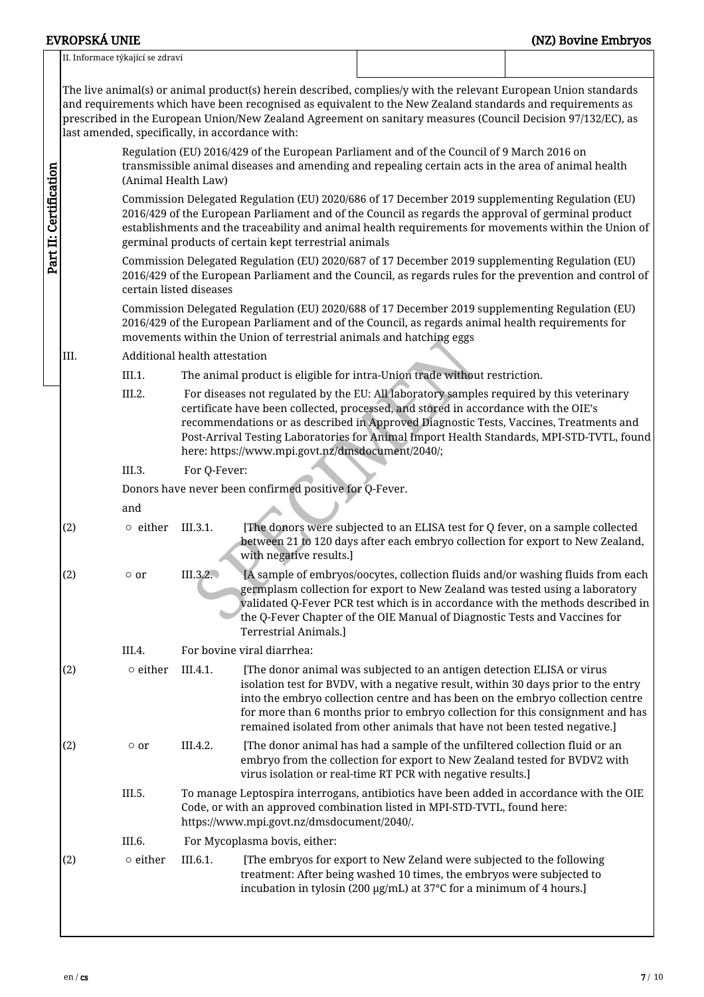## II. Informace týkající se zdraví The live animal(s) or animal product(s) herein described, complies/y with the relevant European Union standards and requirements which have been recognised as equivalent to the New Zealand standards and requirements as prescribed in the European Union/New Zealand Agreement on sanitary measures (Council Decision 97/132/EC), as last amended, specifically, in accordance with: Regulation (EU) 2016/429 of the European Parliament and of the Council of 9 March 2016 on transmissible animal diseases and amending and repealing certain acts in the area of animal health Part II: CertificationPart II: Certification (Animal Health Law) Commission Delegated Regulation (EU) 2020/686 of 17 December 2019 supplementing Regulation (EU) 2016/429 of the European Parliament and of the Council as regards the approval of germinal product establishments and the traceability and animal health requirements for movements within the Union of germinal products of certain kept terrestrial animals Commission Delegated Regulation (EU) 2020/687 of 17 December 2019 supplementing Regulation (EU) 2016/429 of the European Parliament and the Council, as regards rules for the prevention and control of certain listed diseases Commission Delegated Regulation (EU) 2020/688 of 17 December 2019 supplementing Regulation (EU) 2016/429 of the European Parliament and of the Council, as regards animal health requirements for movements within the Union of terrestrial animals and hatching eggs Mini the Union of terrestrial animals and natching eggs<br>alth attestation<br>ne animal product is eligible for intra-Union trade without re<br>or diseases not regulated by the EU: All laboratory samples r<br>rtificate have been coll III. Additional health attestation III.1. The animal product is eligible for intra-Union trade without restriction. III.2. For diseases not regulated by the EU: All laboratory samples required by this veterinary certificate have been collected, processed, and stored in accordance with the OIE's recommendations or as described in Approved Diagnostic Tests, Vaccines, Treatments and Post-Arrival Testing Laboratories for Animal Import Health Standards, MPI-STD-TVTL, found here: https://www.mpi.govt.nz/dmsdocument/2040/; III.3. For Q-Fever: Donors have never been confirmed positive for Q-Fever. and (2) ○ either III.3.1. [The donors were subjected to an ELISA test for Q fever, on a sample collected between 21 to 120 days after each embryo collection for export to New Zealand, with negative results.] (2)  $\circ$  or III.3.2. [A sample of embryos/oocytes, collection fluids and/or washing fluids from each germplasm collection for export to New Zealand was tested using a laboratory validated Q-Fever PCR test which is in accordance with the methods described in the Q-Fever Chapter of the OIE Manual of Diagnostic Tests and Vaccines for Terrestrial Animals.] III.4. For bovine viral diarrhea:  $\circ$  either III.4.1. [The donor animal was subjected to an antigen detection ELISA or virus isolation test for BVDV, with a negative result, within 30 days prior to the entry into the embryo collection centre and has been on the embryo collection centre for more than 6 months prior to embryo collection for this consignment and has remained isolated from other animals that have not been tested negative.]  $(2)$   $\circ$  or III.4.2. [The donor animal has had a sample of the unfiltered collection fluid or an embryo from the collection for export to New Zealand tested for BVDV2 with virus isolation or real-time RT PCR with negative results.] III.5. To manage Leptospira interrogans, antibiotics have been added in accordance with the OIE Code, or with an approved combination listed in MPI-STD-TVTL, found here: https://www.mpi.govt.nz/dmsdocument/2040/. III.6. For Mycoplasma bovis, either: (2) ○ either III.6.1. [The embryos for export to New Zeland were subjected to the following treatment: After being washed 10 times, the embryos were subjected to incubation in tylosin (200 µg/mL) at 37°C for a minimum of 4 hours.]

EVROPSKÁ UNIE (NZ) Bovine Embryos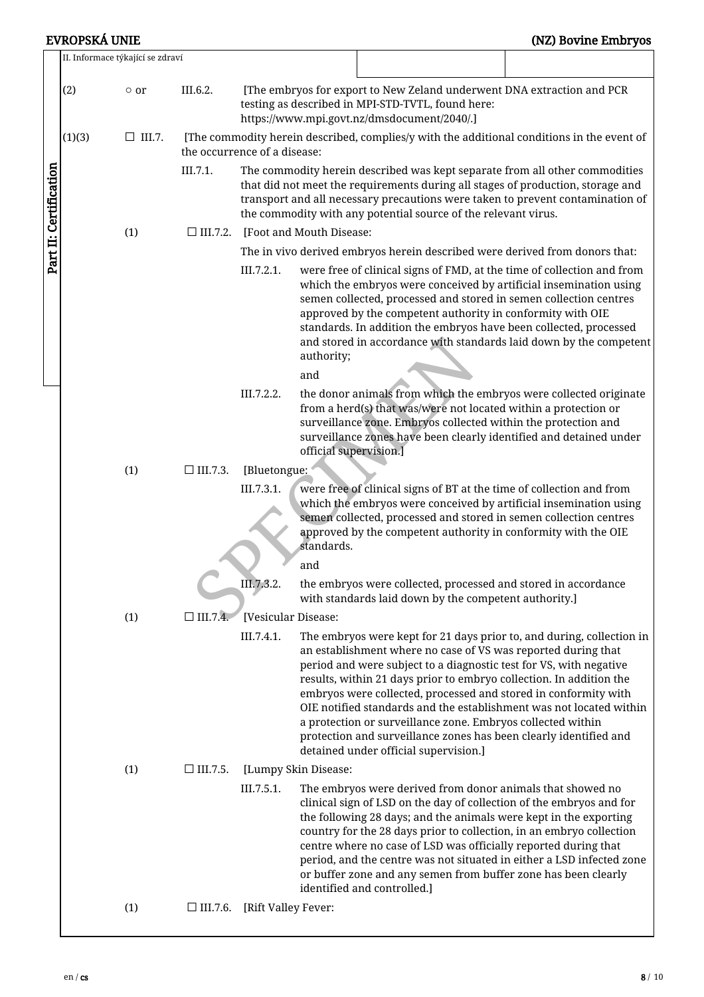EVROPSKÁ UNIE (NZ) Bovine Embryos

|                        |        | II. Informace týkající se zdraví |                 |                                                                                                                                                                                                                                                                                                                    |                          |                                                                                                      |  |                                                                                                                                                                                                                                                                                                                                                                                                                                                                                                    |  |  |  |
|------------------------|--------|----------------------------------|-----------------|--------------------------------------------------------------------------------------------------------------------------------------------------------------------------------------------------------------------------------------------------------------------------------------------------------------------|--------------------------|------------------------------------------------------------------------------------------------------|--|----------------------------------------------------------------------------------------------------------------------------------------------------------------------------------------------------------------------------------------------------------------------------------------------------------------------------------------------------------------------------------------------------------------------------------------------------------------------------------------------------|--|--|--|
|                        | (2)    | $\circ$ or                       | III.6.2.        | [The embryos for export to New Zeland underwent DNA extraction and PCR<br>testing as described in MPI-STD-TVTL, found here:<br>https://www.mpi.govt.nz/dmsdocument/2040/.]                                                                                                                                         |                          |                                                                                                      |  |                                                                                                                                                                                                                                                                                                                                                                                                                                                                                                    |  |  |  |
|                        | (1)(3) | $\Box$ III.7.                    |                 | the occurrence of a disease:                                                                                                                                                                                                                                                                                       |                          | [The commodity herein described, complies/y with the additional conditions in the event of           |  |                                                                                                                                                                                                                                                                                                                                                                                                                                                                                                    |  |  |  |
| Part II: Certification |        |                                  | III.7.1.        | The commodity herein described was kept separate from all other commodities<br>that did not meet the requirements during all stages of production, storage and<br>transport and all necessary precautions were taken to prevent contamination of<br>the commodity with any potential source of the relevant virus. |                          |                                                                                                      |  |                                                                                                                                                                                                                                                                                                                                                                                                                                                                                                    |  |  |  |
|                        |        | (1)                              | $\Box$ III.7.2. |                                                                                                                                                                                                                                                                                                                    | [Foot and Mouth Disease: |                                                                                                      |  |                                                                                                                                                                                                                                                                                                                                                                                                                                                                                                    |  |  |  |
|                        |        |                                  |                 |                                                                                                                                                                                                                                                                                                                    |                          |                                                                                                      |  | The in vivo derived embryos herein described were derived from donors that:                                                                                                                                                                                                                                                                                                                                                                                                                        |  |  |  |
|                        |        |                                  |                 | III.7.2.1.                                                                                                                                                                                                                                                                                                         | authority;<br>and        |                                                                                                      |  | were free of clinical signs of FMD, at the time of collection and from<br>which the embryos were conceived by artificial insemination using<br>semen collected, processed and stored in semen collection centres<br>approved by the competent authority in conformity with OIE<br>standards. In addition the embryos have been collected, processed<br>and stored in accordance with standards laid down by the competent                                                                          |  |  |  |
|                        |        |                                  |                 | III.7.2.2.                                                                                                                                                                                                                                                                                                         | official supervision.]   |                                                                                                      |  | the donor animals from which the embryos were collected originate<br>from a herd(s) that was/were not located within a protection or<br>surveillance zone. Embryos collected within the protection and<br>surveillance zones have been clearly identified and detained under                                                                                                                                                                                                                       |  |  |  |
|                        |        | (1)                              | $\Box$ III.7.3. | [Bluetongue:                                                                                                                                                                                                                                                                                                       |                          |                                                                                                      |  |                                                                                                                                                                                                                                                                                                                                                                                                                                                                                                    |  |  |  |
|                        |        |                                  |                 | III.7.3.1.                                                                                                                                                                                                                                                                                                         | standards.               |                                                                                                      |  | were free of clinical signs of BT at the time of collection and from<br>which the embryos were conceived by artificial insemination using<br>semen collected, processed and stored in semen collection centres<br>approved by the competent authority in conformity with the OIE                                                                                                                                                                                                                   |  |  |  |
|                        |        |                                  |                 |                                                                                                                                                                                                                                                                                                                    | and                      |                                                                                                      |  |                                                                                                                                                                                                                                                                                                                                                                                                                                                                                                    |  |  |  |
|                        |        |                                  |                 | III.7.3.2.                                                                                                                                                                                                                                                                                                         |                          | with standards laid down by the competent authority.]                                                |  | the embryos were collected, processed and stored in accordance                                                                                                                                                                                                                                                                                                                                                                                                                                     |  |  |  |
|                        |        | (1)                              | $\Box$ III.7.4. | [Vesicular Disease:                                                                                                                                                                                                                                                                                                |                          |                                                                                                      |  |                                                                                                                                                                                                                                                                                                                                                                                                                                                                                                    |  |  |  |
|                        |        |                                  |                 | III.7.4.1.                                                                                                                                                                                                                                                                                                         |                          | a protection or surveillance zone. Embryos collected within<br>detained under official supervision.] |  | The embryos were kept for 21 days prior to, and during, collection in<br>an establishment where no case of VS was reported during that<br>period and were subject to a diagnostic test for VS, with negative<br>results, within 21 days prior to embryo collection. In addition the<br>embryos were collected, processed and stored in conformity with<br>OIE notified standards and the establishment was not located within<br>protection and surveillance zones has been clearly identified and |  |  |  |
|                        |        | (1)                              | $\Box$ III.7.5. |                                                                                                                                                                                                                                                                                                                    | [Lumpy Skin Disease:     |                                                                                                      |  |                                                                                                                                                                                                                                                                                                                                                                                                                                                                                                    |  |  |  |
|                        |        |                                  |                 | III.7.5.1.                                                                                                                                                                                                                                                                                                         |                          | identified and controlled.]                                                                          |  | The embryos were derived from donor animals that showed no<br>clinical sign of LSD on the day of collection of the embryos and for<br>the following 28 days; and the animals were kept in the exporting<br>country for the 28 days prior to collection, in an embryo collection<br>centre where no case of LSD was officially reported during that<br>period, and the centre was not situated in either a LSD infected zone<br>or buffer zone and any semen from buffer zone has been clearly      |  |  |  |
|                        |        | (1)                              |                 | $\Box$ III.7.6. [Rift Valley Fever:                                                                                                                                                                                                                                                                                |                          |                                                                                                      |  |                                                                                                                                                                                                                                                                                                                                                                                                                                                                                                    |  |  |  |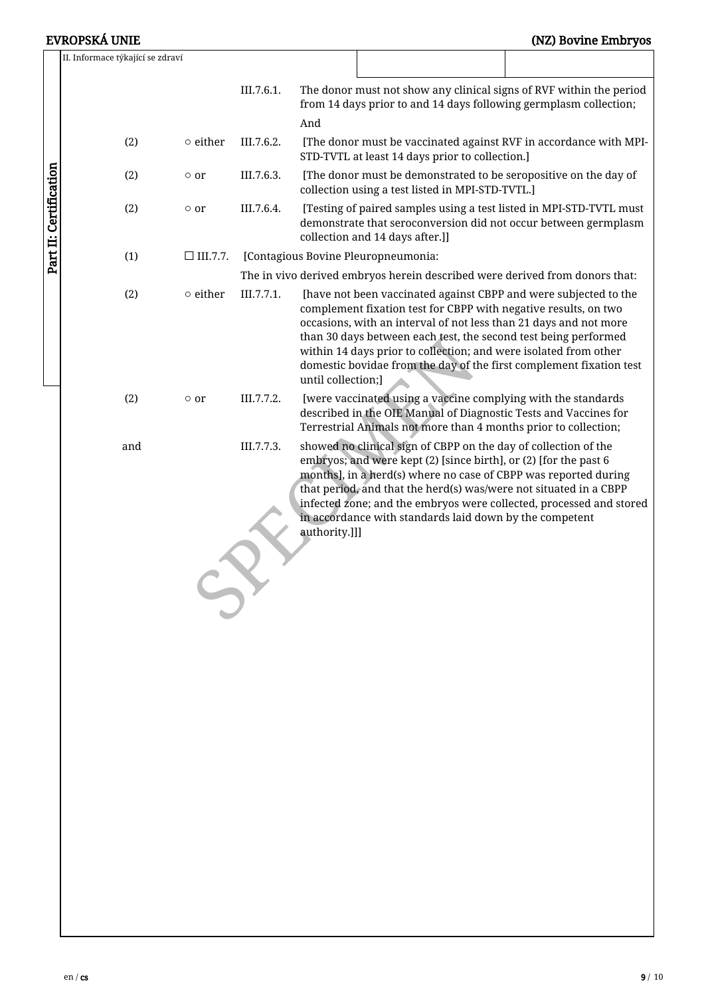# EVROPSKÁ UNIE (NZ) Bovine Embryos

|                        | II. Informace týkající se zdraví    |                 |            |                                                                                                                                                                                                                                                                                                                                                                                                                                              |                                                                                                                                                                                                |                                                                                                                                                                                                             |  |  |  |  |
|------------------------|-------------------------------------|-----------------|------------|----------------------------------------------------------------------------------------------------------------------------------------------------------------------------------------------------------------------------------------------------------------------------------------------------------------------------------------------------------------------------------------------------------------------------------------------|------------------------------------------------------------------------------------------------------------------------------------------------------------------------------------------------|-------------------------------------------------------------------------------------------------------------------------------------------------------------------------------------------------------------|--|--|--|--|
|                        |                                     | III.7.6.1.      | And        |                                                                                                                                                                                                                                                                                                                                                                                                                                              | The donor must not show any clinical signs of RVF within the period<br>from 14 days prior to and 14 days following germplasm collection;                                                       |                                                                                                                                                                                                             |  |  |  |  |
|                        | (2)                                 | $\circ$ either  | III.7.6.2. |                                                                                                                                                                                                                                                                                                                                                                                                                                              | STD-TVTL at least 14 days prior to collection.]                                                                                                                                                | [The donor must be vaccinated against RVF in accordance with MPI-                                                                                                                                           |  |  |  |  |
|                        | (2)                                 | $\circ$ or      | III.7.6.3. | [The donor must be demonstrated to be seropositive on the day of<br>collection using a test listed in MPI-STD-TVTL.]<br>[Testing of paired samples using a test listed in MPI-STD-TVTL must<br>demonstrate that seroconversion did not occur between germplasm<br>collection and 14 days after.]]                                                                                                                                            |                                                                                                                                                                                                |                                                                                                                                                                                                             |  |  |  |  |
| Part II: Certification | (2)                                 | $\circ$ or      | III.7.6.4. |                                                                                                                                                                                                                                                                                                                                                                                                                                              |                                                                                                                                                                                                |                                                                                                                                                                                                             |  |  |  |  |
|                        | (1)                                 | $\Box$ III.7.7. |            |                                                                                                                                                                                                                                                                                                                                                                                                                                              | [Contagious Bovine Pleuropneumonia:                                                                                                                                                            |                                                                                                                                                                                                             |  |  |  |  |
|                        |                                     |                 |            |                                                                                                                                                                                                                                                                                                                                                                                                                                              |                                                                                                                                                                                                | The in vivo derived embryos herein described were derived from donors that:                                                                                                                                 |  |  |  |  |
|                        | $\circ$ either<br>III.7.7.1.<br>(2) |                 |            | [have not been vaccinated against CBPP and were subjected to the<br>complement fixation test for CBPP with negative results, on two<br>occasions, with an interval of not less than 21 days and not more<br>than 30 days between each test, the second test being performed<br>within 14 days prior to collection; and were isolated from other<br>domestic bovidae from the day of the first complement fixation test<br>until collection;] |                                                                                                                                                                                                |                                                                                                                                                                                                             |  |  |  |  |
|                        | (2)                                 | $\circ$ or      | III.7.7.2. |                                                                                                                                                                                                                                                                                                                                                                                                                                              | [were vaccinated using a vaccine complying with the standards<br>Terrestrial Animals not more than 4 months prior to collection;                                                               | described in the OIE Manual of Diagnostic Tests and Vaccines for                                                                                                                                            |  |  |  |  |
|                        | and                                 |                 | III.7.7.3. | authority.]]]                                                                                                                                                                                                                                                                                                                                                                                                                                | showed no clinical sign of CBPP on the day of collection of the<br>embryos; and were kept (2) [since birth], or (2) [for the past 6<br>in accordance with standards laid down by the competent | months], in a herd(s) where no case of CBPP was reported during<br>that period, and that the herd(s) was/were not situated in a CBPP<br>infected zone; and the embryos were collected, processed and stored |  |  |  |  |